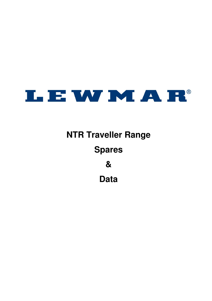

# **NTR Traveller Range Spares & Data**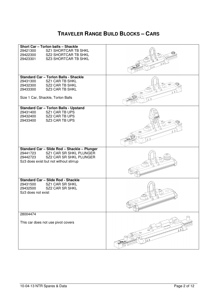#### **TRAVELER RANGE BUILD BLOCKS – CARS**

| Short Car - Torlon balls - Shackle<br><b>SZ1 SHORTCAR TB SHKL</b><br>29421300<br><b>SZ2 SHORTCAR TB SHKL</b><br>29422300                                       |                          |
|----------------------------------------------------------------------------------------------------------------------------------------------------------------|--------------------------|
| <b>SZ3 SHORTCAR TB SHKL</b><br>29423301                                                                                                                        |                          |
|                                                                                                                                                                |                          |
| <b>Standard Car - Torlon Balls - Shackle</b><br><b>SZ1 CAR TB SHKL</b><br>29431300<br><b>SZ2 CAR TB SHKL</b><br>29432300<br><b>SZ3 CAR TB SHKL</b><br>29433300 |                          |
| Size 1 Car, Shackle, Torlon Balls                                                                                                                              |                          |
| <b>Standard Car - Torlon Balls - Upstand</b>                                                                                                                   |                          |
| SZ1 CAR TB UPS<br>29431400                                                                                                                                     |                          |
| SZ2 CAR TB UPS<br>29432400                                                                                                                                     |                          |
| SZ3 CAR TB UPS<br>29433400                                                                                                                                     |                          |
|                                                                                                                                                                |                          |
|                                                                                                                                                                |                          |
|                                                                                                                                                                |                          |
|                                                                                                                                                                |                          |
| Standard Car - Slide Rod - Shackle - Plunger                                                                                                                   |                          |
| SZ1 CAR SR SHKL PLUNGER<br>29441723<br>29442723<br>SZ2 CAR SR SHKL PLUNGER<br>Sz3 does exist but not without stirrup                                           |                          |
|                                                                                                                                                                |                          |
| Standard Car - Slide Rod - Shackle                                                                                                                             |                          |
| SZ1 CAR SR SHKL<br>29431500<br><b>SZ2 CAR SR SHKL</b><br>29432500<br>Sz3 does not exist                                                                        |                          |
|                                                                                                                                                                |                          |
| 28004474                                                                                                                                                       |                          |
| This car does not use pivot covers                                                                                                                             | $\scriptstyle\mathtt{<}$ |
|                                                                                                                                                                |                          |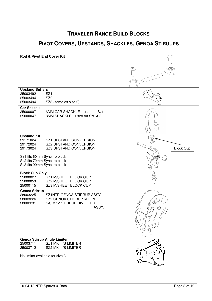## **PIVOT COVERS, UPSTANDS, SHACKLES, GENOA STIRUUPS**

| Rod & Pivot End Cover Kit                                                                                                                                |                  |
|----------------------------------------------------------------------------------------------------------------------------------------------------------|------------------|
|                                                                                                                                                          |                  |
|                                                                                                                                                          |                  |
| <b>Upstand Buffers</b><br>25003492<br>SZ <sub>1</sub><br>SZ <sub>2</sub><br>25003494<br>25003494<br>SZ3 (same as size 2)                                 |                  |
| <b>Car Shackle</b><br>25000007<br>6MM CAR SHACKLE - used on Sz1<br>8MM SHACKLE - used on Sz2 & 3<br>25000047                                             |                  |
| <b>Upstand Kit</b><br>29171024<br>SZ1 UPSTAND CONVERSION<br>29172024<br><b>SZ2 UPSTAND CONVERSION</b><br>29173024<br><b>SZ3 UPSTAND CONVERSION</b>       | <b>Block Cup</b> |
| Sz1 fits 60mm Synchro block<br>Sz2 fits 72mm Synchro block<br>Sz3 fits 90mm Synchro block                                                                |                  |
| <b>Block Cup Only</b><br>25000027<br>SZ1 M/SHEET BLOCK CUP<br>25000053<br>SZ2 M/SHEET BLOCK CUP<br>25000115<br>SZ3 M/SHEET BLOCK CUP                     |                  |
| <b>Genoa Stirrup</b><br>28003225<br>SZ1NTR GENOA STIRRUP ASSY<br>28003226<br>SZ2 GENOA STIRRUP KIT (PB)<br>S/S MK2 STIRRUP RIVETTED<br>28002231<br>ASSY. |                  |
| <b>Genoa Stirrup Angle Limiter</b><br>25003711<br>SZ1 MKII I/B LIMITER<br>25003712<br>SZ2 MKII I/B LIMITER                                               |                  |
| No limiter available for size 3                                                                                                                          |                  |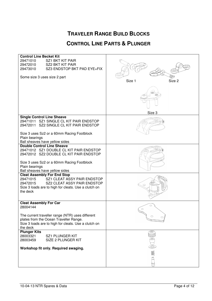#### **CONTROL LINE PARTS & PLUNGER**

| <b>Control Line Becket Kit</b><br><b>SZ1 BKT KIT PAIR</b><br>29471010<br><b>SZ2 BKT KIT PAIR</b><br>29472010<br>29473010<br>SZ3 ENDSTOP BKT PAD EYE+FIX<br>Some size 3 uses size 2 part  | Size <sub>2</sub><br>Size 1 |
|------------------------------------------------------------------------------------------------------------------------------------------------------------------------------------------|-----------------------------|
| <b>Single Control Line Sheave</b>                                                                                                                                                        |                             |
| 29471011 SZ1 SINGLE CL KIT PAIR ENDSTOP<br>29472011 SZ2 SINGLE CL KIT PAIR ENDSTOP                                                                                                       |                             |
| Plain bearings                                                                                                                                                                           |                             |
|                                                                                                                                                                                          |                             |
| 29471012 SZ1 DOUBLE CL KIT PAIR ENDSTOP<br>29472012 SZ2 DOUBLE CL KIT PAIR ENDSTOP                                                                                                       |                             |
| Size 3 uses Sz2 or a 60mm Racing Footblock<br>Plain bearings<br>Ball sheaves have yellow sides                                                                                           |                             |
| SZ1 CLEAT ASSY PAIR ENDSTOP<br>29471015<br>29472015<br>SZ2 CLEAT ASSY PAIR ENDSTOP<br>Size 3 loads are to high for cleats. Use a clutch on<br>the deck                                   |                             |
| 28004144                                                                                                                                                                                 |                             |
| The current traveller range (NTR) uses different<br>plates from the Ocean Traveller Range.<br>Size 3 loads are to high for cleats. Use a clutch on<br>the deck                           | O                           |
| <b>Plunger Kits</b><br>28003321<br><b>SZ1 PLUNGER KIT</b><br>28003459<br>SIZE 2 PLUNGER KIT                                                                                              |                             |
| Workshop fit only. Required swaging.                                                                                                                                                     |                             |
|                                                                                                                                                                                          |                             |
|                                                                                                                                                                                          |                             |
| Size 3 uses Sz2 or a 60mm Racing Footblock<br>Ball sheaves have yellow sides<br><b>Double Control Line Sheave</b><br><b>Cleat Assembly For End Stop</b><br><b>Cleat Assembly For Car</b> | Size 3                      |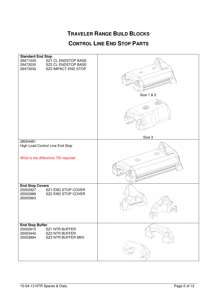#### **CONTROL LINE END STOP PARTS**

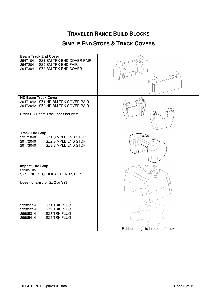#### **SIMPLE END STOPS & TRACK COVERS**

| <b>Beam Track End Cover</b><br>29471041 SZ1 BM TRK END COVER PAIR<br>29472041 SZ2 BM TRK END PAIR<br>29473041 SZ3 BM TRK END COVER         |                                    |
|--------------------------------------------------------------------------------------------------------------------------------------------|------------------------------------|
| <b>HD Beam Track Cover</b><br>29471042 SZ1 HD BM TRK COVER PAIR<br>29472042 SZ2 HD BM TRK COVER PAIR<br>Size3 HD Beam Track does not exist |                                    |
| <b>Track End Stop</b><br>29171040<br>SZ1 SIMPLE END STOP<br>29172040<br>SZ2 SIMPLE END STOP<br>SZ3 SIMPLE END STOP<br>29173040             |                                    |
| <b>Impact End Stop</b><br>29905105<br>SZ1 ONE PIECE IMPACT END STOP<br>Does not exist for Sz 2 or Sz3                                      |                                    |
| <b>SZ1 TRK PLUG</b><br>29905114<br><b>SZ2 TRK PLUG</b><br>29905214<br><b>SZ3 TRK PLUG</b><br>29905314<br><b>SZ4 TRK PLUG</b><br>29905414   | Rubber bung fits into end of track |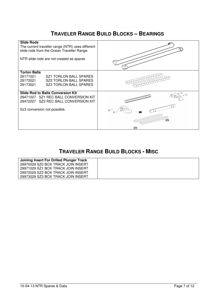#### **TRAVELER RANGE BUILD BLOCKS – BEARINGS**

| <b>Slide Rods</b><br>The current traveller range (NTR) uses different<br>slide rods from the Ocean Traveller Range.<br>NTR slide rods are not created as spares |   |
|-----------------------------------------------------------------------------------------------------------------------------------------------------------------|---|
| <b>Torlon Balls</b><br>29171021<br><b>SZ1 TORLON BALL SPARES</b><br><b>SZ2 TORLON BALL SPARES</b><br>29172021<br><b>SZ3 TORLON BALL SPARES</b><br>29173021      |   |
| <b>Slide Rod to Balls Conversion Kit</b><br>29471027 SZ1 REC BALL CONVERSION KIT<br>29472027 SZ2 REC BALL CONVERSION KIT                                        |   |
| Sz3 conversion not possible.                                                                                                                                    | 匬 |

#### **TRAVELER RANGE BUILD BLOCKS - MISC**

| Joining Insert For Drilled Plunger Track |  |
|------------------------------------------|--|
| 29970029 SZ0 BOX TRACK JOIN INSERT       |  |
| 29971029 SZ1 BOX TRACK JOIN INSERT       |  |
| 29972029 SZ2 BOX TRACK JOIN INSERT       |  |
| 29973029 SZ3 BOX TRACK JOIN INSERT       |  |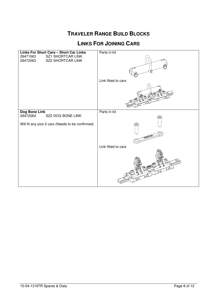#### **LINKS FOR JOINING CARS**

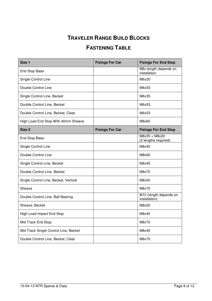### **FASTENING TABLE**

| Size 1                                | <b>Fixings For Car</b> | <b>Fixings For End Stop</b>             |
|---------------------------------------|------------------------|-----------------------------------------|
| <b>End Stop Base</b>                  |                        | M6x length depends on<br>installation   |
| Single Control Line                   |                        | M6x35                                   |
| Double Control Line                   |                        | M6x53                                   |
| Single Control Line, Becket           |                        | M6x35                                   |
| Double Control Line, Becket           |                        | M6x53                                   |
| Double Control Line, Becket, Cleat    |                        | M6x53                                   |
| High Load End Stop With 40mm Sheave   |                        | M8x60                                   |
| Size <sub>2</sub>                     | <b>Fixings For Car</b> | <b>Fixings For End Stop</b>             |
| <b>End Stop Base</b>                  |                        | M8x35 + M8x20<br>(2 lengths required)   |
| Single Control Line                   |                        | M8x45                                   |
| Double Control Line                   |                        | M8x65                                   |
| Single Control Line, Becket           |                        | M8x45                                   |
| Double Control Line, Becket           |                        | M8x70                                   |
| Single Control Line, Becket, Vertical |                        | M8x50                                   |
| Sheave                                |                        | M8x70                                   |
| Double Control Line, Ball Bearing     |                        | M12 (length depends on<br>installation) |
| Sheave, Becket                        |                        | M8x20                                   |
| High Load Impact End Stop             |                        | M8x45                                   |
| Mid Track End Stop                    |                        | M8x70                                   |
| Mid Track Single Control Line, Becket |                        | M8x45                                   |
| Double Control Line, Becket, Cleat    |                        | M8x70                                   |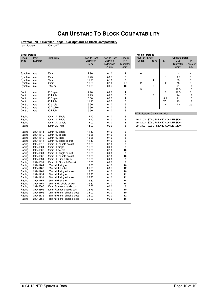#### **CAR UPSTAND TO BLOCK COMPATABILITY**

#### **Lewmar - NTR Traveller Range - Car Upstand To Block Compatability**

Last Up-date: 20-Aug-07

| <b>Block</b><br>Part<br>Number<br>Type<br>n/a<br>Synchro<br>Synchro<br>n/a<br>Synchro<br>n/a<br>Synchro<br>n/a<br>n/a<br>Synchro<br>Control<br>n/a<br>Control<br>n/a<br>Control<br>n/a<br>Control<br>n/a<br>Control<br>n/a<br>Control<br>n/a<br>Control<br>n/a<br>Racing<br>Racing<br>Racing<br>Racing<br>Racing<br>29941611<br>Racing<br>29941612<br>Racing<br>29941613<br>Racing<br>29941614<br>29941615<br>Racing<br>29941801<br>Racing<br>Racing<br>29941802<br>29941804<br>Racing<br>Racing<br>29941805<br>Racing<br>29941831<br>Racing<br>29941834<br>29941101<br>Racing<br>Racing<br>29941102 | <b>Block Size</b><br>50mm<br>60 <sub>mm</sub><br>72mm | <b>Shackle Post</b><br>Diameter<br>(mm)<br>7.90<br>9.43 | Shackle Post<br><b>Diameter</b><br>Tollerance<br>$(+/- mm)$<br>0.10 | Shackle<br>Pin<br><b>Diameter</b><br>(mm) | <b>Traveller Range</b><br>Ocean    | Racing         | <b>NTR</b>                      | <b>Upstand Detail</b><br>Cup<br>Diameter | Pin   |
|------------------------------------------------------------------------------------------------------------------------------------------------------------------------------------------------------------------------------------------------------------------------------------------------------------------------------------------------------------------------------------------------------------------------------------------------------------------------------------------------------------------------------------------------------------------------------------------------------|-------------------------------------------------------|---------------------------------------------------------|---------------------------------------------------------------------|-------------------------------------------|------------------------------------|----------------|---------------------------------|------------------------------------------|-------|
|                                                                                                                                                                                                                                                                                                                                                                                                                                                                                                                                                                                                      |                                                       |                                                         |                                                                     |                                           |                                    |                |                                 |                                          |       |
|                                                                                                                                                                                                                                                                                                                                                                                                                                                                                                                                                                                                      |                                                       |                                                         |                                                                     |                                           |                                    |                |                                 |                                          |       |
|                                                                                                                                                                                                                                                                                                                                                                                                                                                                                                                                                                                                      |                                                       |                                                         |                                                                     |                                           |                                    |                |                                 |                                          | Diame |
|                                                                                                                                                                                                                                                                                                                                                                                                                                                                                                                                                                                                      |                                                       |                                                         |                                                                     |                                           |                                    |                |                                 | (mm)                                     | (mm)  |
|                                                                                                                                                                                                                                                                                                                                                                                                                                                                                                                                                                                                      |                                                       |                                                         |                                                                     |                                           |                                    |                |                                 |                                          |       |
|                                                                                                                                                                                                                                                                                                                                                                                                                                                                                                                                                                                                      |                                                       |                                                         |                                                                     | 4                                         | 0                                  |                |                                 |                                          |       |
|                                                                                                                                                                                                                                                                                                                                                                                                                                                                                                                                                                                                      |                                                       |                                                         | 0.05                                                                | 5                                         | 1                                  |                | 1                               | 9.5                                      | 5     |
|                                                                                                                                                                                                                                                                                                                                                                                                                                                                                                                                                                                                      |                                                       | 11.90                                                   | 0.10                                                                | 6                                         |                                    | 1              |                                 | 13                                       | 6     |
|                                                                                                                                                                                                                                                                                                                                                                                                                                                                                                                                                                                                      | 90 <sub>mm</sub>                                      | 16.50                                                   | 0.10                                                                | 9.8                                       | $\overline{c}$                     |                | $\overline{2}$                  | 13                                       | 6     |
|                                                                                                                                                                                                                                                                                                                                                                                                                                                                                                                                                                                                      | 105m <sub>m</sub>                                     | 19.75                                                   | 0.05                                                                | 10                                        |                                    | $\overline{2}$ |                                 | 21                                       | 10    |
|                                                                                                                                                                                                                                                                                                                                                                                                                                                                                                                                                                                                      |                                                       |                                                         |                                                                     |                                           | 3                                  |                |                                 | 16.5                                     | 10    |
|                                                                                                                                                                                                                                                                                                                                                                                                                                                                                                                                                                                                      | 30 Single                                             | 7.10                                                    | 0.20                                                                | $\overline{4}$                            |                                    |                | 3                               | 16.5                                     | 8     |
|                                                                                                                                                                                                                                                                                                                                                                                                                                                                                                                                                                                                      | 30 Triple                                             | 9.25                                                    | 0.25                                                                | 5                                         |                                    | 3              |                                 | 24                                       | 12    |
|                                                                                                                                                                                                                                                                                                                                                                                                                                                                                                                                                                                                      | 40 Single                                             | 8.00                                                    | 0.05                                                                | 4                                         |                                    |                | 3HL                             | 21                                       | 10    |
|                                                                                                                                                                                                                                                                                                                                                                                                                                                                                                                                                                                                      | 40 Triple                                             | 11.45                                                   | 0.05                                                                | 6                                         |                                    |                | 3VHL                            | 23                                       | 12    |
|                                                                                                                                                                                                                                                                                                                                                                                                                                                                                                                                                                                                      | 60 single                                             | 9.50                                                    | 0.10                                                                | 5                                         |                                    |                | $\overline{4}$                  | tba                                      | tba   |
|                                                                                                                                                                                                                                                                                                                                                                                                                                                                                                                                                                                                      | 60 Double                                             | 9.90                                                    | 0.10                                                                | 6                                         |                                    |                |                                 |                                          |       |
|                                                                                                                                                                                                                                                                                                                                                                                                                                                                                                                                                                                                      | 60 Triple                                             | 9.90                                                    | 0.10                                                                | 6                                         |                                    |                |                                 |                                          |       |
|                                                                                                                                                                                                                                                                                                                                                                                                                                                                                                                                                                                                      |                                                       |                                                         |                                                                     |                                           | <b>NTR Upstand Conversion Kits</b> |                |                                 |                                          |       |
|                                                                                                                                                                                                                                                                                                                                                                                                                                                                                                                                                                                                      | 80mm LL Single                                        | 12.40                                                   | 0.10                                                                | 6                                         |                                    |                |                                 |                                          |       |
|                                                                                                                                                                                                                                                                                                                                                                                                                                                                                                                                                                                                      | 80mm LL Fiddle                                        | 12.40                                                   | 0.10                                                                | 6                                         |                                    |                | 29171024 SZ1 UPSTAND CONVERSION |                                          |       |
|                                                                                                                                                                                                                                                                                                                                                                                                                                                                                                                                                                                                      | 80mm LL Double                                        | 14.00                                                   | 0.20                                                                | 8                                         |                                    |                | 29172024 SZ2 UPSTAND CONVERSION |                                          |       |
|                                                                                                                                                                                                                                                                                                                                                                                                                                                                                                                                                                                                      | 80mm LL Triple                                        | 14.00                                                   | 0.20                                                                | 8                                         |                                    |                | 29173024 SZ3 UPSTAND CONVERSION |                                          |       |
|                                                                                                                                                                                                                                                                                                                                                                                                                                                                                                                                                                                                      |                                                       |                                                         |                                                                     |                                           |                                    |                |                                 |                                          |       |
|                                                                                                                                                                                                                                                                                                                                                                                                                                                                                                                                                                                                      | 60mm HL single                                        | 11.10                                                   | 0.10                                                                | 6                                         |                                    |                |                                 |                                          |       |
|                                                                                                                                                                                                                                                                                                                                                                                                                                                                                                                                                                                                      | 60mm HL double                                        | 13.85                                                   | 0.10                                                                | 8                                         |                                    |                |                                 |                                          |       |
|                                                                                                                                                                                                                                                                                                                                                                                                                                                                                                                                                                                                      | 60mm HL triple                                        | 13.85                                                   | 0.10                                                                | 8                                         |                                    |                |                                 |                                          |       |
|                                                                                                                                                                                                                                                                                                                                                                                                                                                                                                                                                                                                      | 60mm HL single becket                                 | 11.10                                                   | 0.10                                                                | 6                                         |                                    |                |                                 |                                          |       |
|                                                                                                                                                                                                                                                                                                                                                                                                                                                                                                                                                                                                      | 60mm HL double becket                                 | 13.85                                                   | 0.10                                                                | 8                                         |                                    |                |                                 |                                          |       |
|                                                                                                                                                                                                                                                                                                                                                                                                                                                                                                                                                                                                      | 80mm HI single                                        | 15.00                                                   | 0.20                                                                | 8                                         |                                    |                |                                 |                                          |       |
|                                                                                                                                                                                                                                                                                                                                                                                                                                                                                                                                                                                                      | 80mm HI double                                        | 19.80                                                   | 0.10                                                                | 10                                        |                                    |                |                                 |                                          |       |
|                                                                                                                                                                                                                                                                                                                                                                                                                                                                                                                                                                                                      | 80mm HL single becket                                 | 15.00                                                   | 0.20                                                                | 8                                         |                                    |                |                                 |                                          |       |
|                                                                                                                                                                                                                                                                                                                                                                                                                                                                                                                                                                                                      | 80mm HL double becket                                 | 19.80                                                   | 0.10                                                                | 10                                        |                                    |                |                                 |                                          |       |
|                                                                                                                                                                                                                                                                                                                                                                                                                                                                                                                                                                                                      | 80mm HL Fiddle Block                                  | 15.00                                                   | 0.20                                                                | 8                                         |                                    |                |                                 |                                          |       |
|                                                                                                                                                                                                                                                                                                                                                                                                                                                                                                                                                                                                      | 80mm HL Fiddle & Becket                               | 15.00                                                   | 0.20                                                                | 8                                         |                                    |                |                                 |                                          |       |
|                                                                                                                                                                                                                                                                                                                                                                                                                                                                                                                                                                                                      | 105mm HL single                                       | 19.80                                                   | 0.10                                                                | 10                                        |                                    |                |                                 |                                          |       |
|                                                                                                                                                                                                                                                                                                                                                                                                                                                                                                                                                                                                      | 105mm HL double                                       | 21.75                                                   | 0.05                                                                | 12                                        |                                    |                |                                 |                                          |       |
| 29941104<br>Racing                                                                                                                                                                                                                                                                                                                                                                                                                                                                                                                                                                                   | 105mm HL single becket                                | 19.80                                                   | 0.10                                                                | 10                                        |                                    |                |                                 |                                          |       |
| 29941131<br>Racing                                                                                                                                                                                                                                                                                                                                                                                                                                                                                                                                                                                   | 130mm HL single                                       | 22.70                                                   | 0.10                                                                | 12                                        |                                    |                |                                 |                                          |       |
| 29941134<br>Racing                                                                                                                                                                                                                                                                                                                                                                                                                                                                                                                                                                                   | 130mm HL single becket                                | 22.70                                                   | 0.10                                                                | 12                                        |                                    |                |                                 |                                          |       |
| Racing<br>29941151                                                                                                                                                                                                                                                                                                                                                                                                                                                                                                                                                                                   | 155mm HL single                                       | 25.80                                                   | 0.10                                                                | 14                                        |                                    |                |                                 |                                          |       |
| 29941154<br>Racing                                                                                                                                                                                                                                                                                                                                                                                                                                                                                                                                                                                   | 155mm HL single becket                                | 25.80                                                   | 0.10                                                                | 14                                        |                                    |                |                                 |                                          |       |
| 29942606<br>Racing                                                                                                                                                                                                                                                                                                                                                                                                                                                                                                                                                                                   | 60mm Runner shackle post                              | 17.50                                                   | 0.20                                                                | 8                                         |                                    |                |                                 |                                          |       |
| 29942806<br>Racing                                                                                                                                                                                                                                                                                                                                                                                                                                                                                                                                                                                   | 80mm Runner shackle post                              | 23.75                                                   | 0.20                                                                | 10                                        |                                    |                |                                 |                                          |       |
| 29942106<br>Racing                                                                                                                                                                                                                                                                                                                                                                                                                                                                                                                                                                                   | 105mm Runner shackle post                             | 24.00                                                   | 0.20                                                                | 10                                        |                                    |                |                                 |                                          |       |
| 29942136<br>Racing                                                                                                                                                                                                                                                                                                                                                                                                                                                                                                                                                                                   | 130mm Runner shackle post                             | 28.00                                                   | 0.20                                                                | 12                                        |                                    |                |                                 |                                          |       |
| Racing<br>29942156                                                                                                                                                                                                                                                                                                                                                                                                                                                                                                                                                                                   | 155mm Runner shackle post                             | 36.00                                                   | 0.20                                                                | 16                                        |                                    |                |                                 |                                          |       |
|                                                                                                                                                                                                                                                                                                                                                                                                                                                                                                                                                                                                      |                                                       |                                                         |                                                                     |                                           |                                    |                |                                 |                                          |       |

| <b>Shackle Post</b> | Shackle  | <b>Traveller Range</b> |                |            | <b>Upstand Detail</b> |          |
|---------------------|----------|------------------------|----------------|------------|-----------------------|----------|
| Diameter            | Pin      | Ocean                  | Racing         | <b>NTR</b> | Cup                   | Pin      |
| Tollerance          | Diameter |                        |                |            | <b>Diameter</b>       | Diameter |
| $(+/- mm)$          | (mm)     |                        |                |            | (mm)                  | (mm)     |
|                     |          |                        |                |            |                       |          |
| 0.10                | 4        | 0                      |                |            |                       |          |
| 0.05                | 5        |                        |                |            | 9.5                   | 5        |
| 0.10                | 6        |                        |                |            | 13                    | 6<br>6   |
| 0.10                | 9.8      | $\overline{2}$         |                | 2          | 13                    |          |
| 0.05                | 10       |                        | $\overline{2}$ |            | 21                    | 10       |
|                     |          | 3                      |                |            | 16.5                  | 10       |
| 0.20                | 4        |                        |                | 3          | 16.5                  | 8        |
| 0.25                | 5        |                        | 3              |            | 24                    | 12       |
| 0.05                | 4        |                        |                | 3HL        | 21                    | 10       |
| 0.05                | 6        |                        |                | 3VHL       | 23                    | 12       |
| 0.10                | 5        |                        |                | 4          | tba                   | tba      |
| 010                 | 6        |                        |                |            |                       |          |

#### **Ipstand Conversion Kits**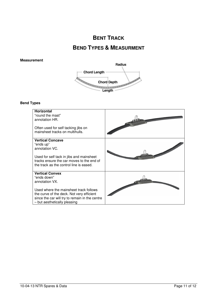#### **BENT TRACK**

#### **BEND TYPES & MEASURMENT**

#### **Measurement**



#### **Bend Types**

| <b>Horizontal</b><br>"round the mast"<br>annotation HR.                |  |
|------------------------------------------------------------------------|--|
| Often used for self tacking jibs on<br>mainsheet tracks on multihulls. |  |
| <b>Vertical Concave</b>                                                |  |
| "ends up"                                                              |  |
| annotation VC.                                                         |  |
| Used for self tack in jibs and mainsheet                               |  |
| tracks ensure the car moves to the end of                              |  |
| the track as the control line is eased.                                |  |
| <b>Vertical Convex</b>                                                 |  |
| "ends down"                                                            |  |
| annotation VX.                                                         |  |
| Used where the mainsheet track follows                                 |  |
| the curve of the deck. Not very efficient                              |  |
| since the car will try to remain in the centre                         |  |
| - but aesthetically pleasing                                           |  |